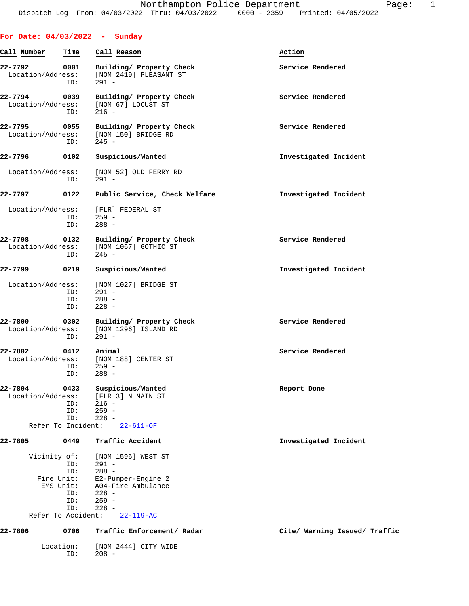| For Date: $04/03/2022 -$ Sunday                               |                                 |                                                                                                                                          |                               |
|---------------------------------------------------------------|---------------------------------|------------------------------------------------------------------------------------------------------------------------------------------|-------------------------------|
| Call Number                                                   | Time                            | Call Reason                                                                                                                              | Action                        |
| 22-7792<br>Location/Address:                                  | 0001<br>ID:                     | Building/ Property Check<br>[NOM 2419] PLEASANT ST<br>$291 -$                                                                            | Service Rendered              |
| 22-7794<br>Location/Address:                                  | 0039<br>ID:                     | Building/ Property Check<br>[NOM 67] LOCUST ST<br>$216 -$                                                                                | Service Rendered              |
| $22 - 7795$<br>Location/Address:                              | 0055<br>ID:                     | Building/ Property Check<br>[NOM 150] BRIDGE RD<br>$245 -$                                                                               | Service Rendered              |
| 22-7796                                                       | 0102                            | Suspicious/Wanted                                                                                                                        | Investigated Incident         |
| Location/Address:                                             | ID:                             | [NOM 52] OLD FERRY RD<br>$291 -$                                                                                                         |                               |
| 22-7797                                                       | 0122                            | Public Service, Check Welfare                                                                                                            | Investigated Incident         |
| Location/Address:                                             | ID:<br>ID:                      | [FLR] FEDERAL ST<br>$259 -$<br>$288 -$                                                                                                   |                               |
| $22 - 7798$<br>Location/Address:                              | 0132<br>ID:                     | Building/ Property Check<br>[NOM 1067] GOTHIC ST<br>$245 -$                                                                              | Service Rendered              |
| 22-7799                                                       | 0219                            | Suspicious/Wanted                                                                                                                        | Investigated Incident         |
| Location/Address:                                             | ID:<br>ID:<br>ID:               | [NOM 1027] BRIDGE ST<br>$291 -$<br>$288 -$<br>$228 -$                                                                                    |                               |
| 22-7800<br>Location/Address:                                  | 0302<br>ID:                     | Building/ Property Check<br>[NOM 1296] ISLAND RD<br>$291 -$                                                                              | Service Rendered              |
| 22-7802<br>Location/Address:                                  | 0412<br>ID:<br>ID:              | Animal<br>[NOM 188] CENTER ST<br>$259 -$<br>$288 -$                                                                                      | Service Rendered              |
| 22-7804<br>Location/Address:<br>Refer To Incident:            | 0433<br>ID:<br>ID:<br>ID:       | Suspicious/Wanted<br>[FLR 3] N MAIN ST<br>$216 -$<br>$259 -$<br>$228 -$<br>$22 - 611 - OF$                                               | Report Done                   |
| 22-7805                                                       | 0449                            | Traffic Accident                                                                                                                         | Investigated Incident         |
| Vicinity of:<br>Fire Unit:<br>EMS Unit:<br>Refer To Accident: | ID:<br>ID:<br>ID:<br>ID:<br>ID: | [NOM 1596] WEST ST<br>$291 -$<br>$288 -$<br>E2-Pumper-Engine 2<br>A04-Fire Ambulance<br>$228 -$<br>$259 -$<br>$228 -$<br>$22 - 119 - AC$ |                               |
| 22-7806                                                       | 0706                            | Traffic Enforcement/ Radar                                                                                                               | Cite/ Warning Issued/ Traffic |
| Location:                                                     | ID:                             | [NOM 2444] CITY WIDE<br>$208 -$                                                                                                          |                               |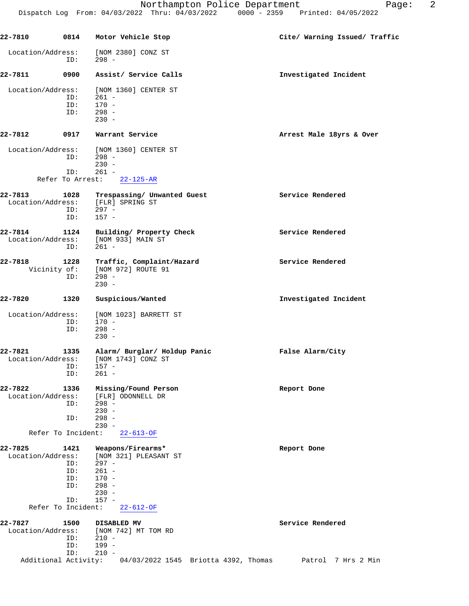**22-7810 0814 Motor Vehicle Stop Cite/ Warning Issued/ Traffic** Location/Address: [NOM 2380] CONZ ST ID: 298 - **22-7811 0900 Assist/ Service Calls Investigated Incident** Location/Address: [NOM 1360] CENTER ST ID: 261 -<br>ID: 170 -ID: 170 -<br>ID: 298 - $298 - 230 230 -$ **22-7812 0917 Warrant Service Arrest Male 18yrs & Over** Location/Address: [NOM 1360] CENTER ST ID: 298 - 230 - ID: 261 - Refer To Arrest: 22-125-AR 22-7813 1028 Trespassing/ Unwanted Guest Service Rendered Location/Address: [FLR] SPRING ST Location/Address: ID: 297 -<br>ID: 157 - $157 -$ **22-7814 1124 Building/ Property Check Service Rendered** Location/Address: [NOM 933] MAIN ST<br>ID: 261 - ID: 261 - **22-7818 1228 Traffic, Complaint/Hazard Service Rendered** Vicinity of: [NOM 972] ROUTE 91<br>ID: 298 -298 - 230 - **22-7820 1320 Suspicious/Wanted Investigated Incident** Location/Address: [NOM 1023] BARRETT ST ID: 170 - ID: 298 - 230 - **22-7821 1335 Alarm/ Burglar/ Holdup Panic False Alarm/City** Location/Address: [NOM 1743] CONZ ST<br>ID: 157 ess:<br>ID: 157 -<br>ID: 261 - $261 -$ **22-7822 1336 Missing/Found Person Report Done** ess: [FLR] ODONNELL DR<br>ID: 298 - ID: 298 -  $230 -$  ID: 298 - 230 - Refer To Incident: 22-613-OF **22-7825 1421 Weapons/Firearms\* Report Done** Location/Address: [NOM 321] PLEASANT ST ID: 297 -<br>ID: 261 -ID: 261 -<br>ID: 170 -ID: 170 -<br>ID: 298 - ID: 298 -  $230 -$  ID: 157 - Refer To Incident: 22-612-OF **22-7827 1500 DISABLED MV Service Rendered** Location/Address: [NOM 742] MT TOM RD<br>ID: 210 - ID: 210 - ID: 199 - ID: 210 - Additional Activity: 04/03/2022 1545 Briotta 4392, Thomas Patrol 7 Hrs 2 Min